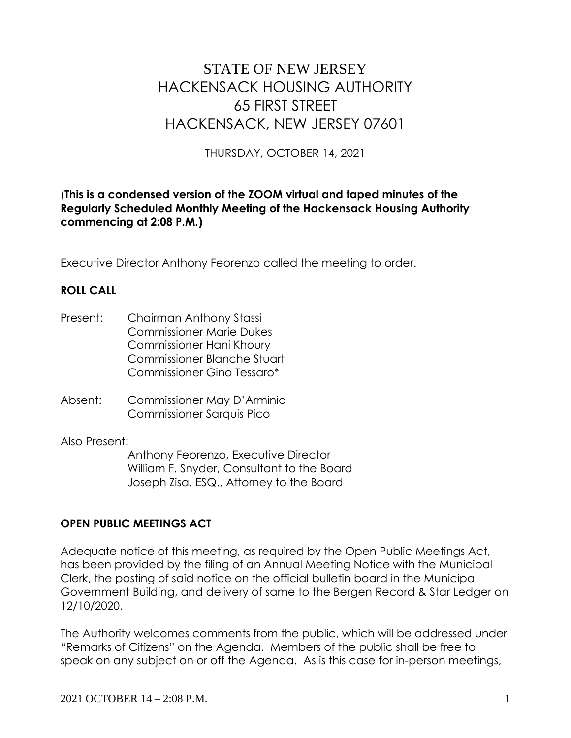# STATE OF NEW JERSEY HACKENSACK HOUSING AUTHORITY 65 FIRST STREET HACKENSACK, NEW JERSEY 07601

THURSDAY, OCTOBER 14, 2021

#### (**This is a condensed version of the ZOOM virtual and taped minutes of the Regularly Scheduled Monthly Meeting of the Hackensack Housing Authority commencing at 2:08 P.M.)**

Executive Director Anthony Feorenzo called the meeting to order.

#### **ROLL CALL**

- Present: Chairman Anthony Stassi Commissioner Marie Dukes Commissioner Hani Khoury Commissioner Blanche Stuart Commissioner Gino Tessaro\*
- Absent: Commissioner May D'Arminio Commissioner Sarquis Pico

Also Present:

Anthony Feorenzo, Executive Director William F. Snyder, Consultant to the Board Joseph Zisa, ESQ., Attorney to the Board

#### **OPEN PUBLIC MEETINGS ACT**

Adequate notice of this meeting, as required by the Open Public Meetings Act, has been provided by the filing of an Annual Meeting Notice with the Municipal Clerk, the posting of said notice on the official bulletin board in the Municipal Government Building, and delivery of same to the Bergen Record & Star Ledger on 12/10/2020.

The Authority welcomes comments from the public, which will be addressed under "Remarks of Citizens" on the Agenda. Members of the public shall be free to speak on any subject on or off the Agenda. As is this case for in-person meetings,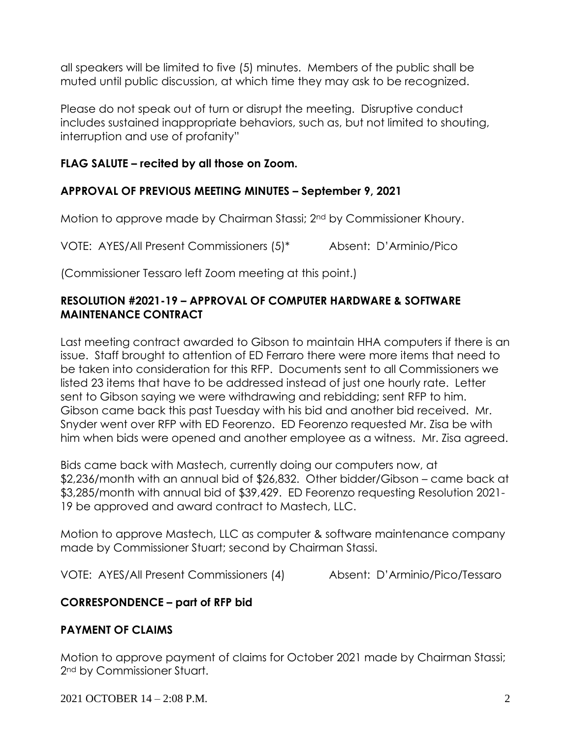all speakers will be limited to five (5) minutes. Members of the public shall be muted until public discussion, at which time they may ask to be recognized.

Please do not speak out of turn or disrupt the meeting. Disruptive conduct includes sustained inappropriate behaviors, such as, but not limited to shouting, interruption and use of profanity"

## **FLAG SALUTE – recited by all those on Zoom.**

## **APPROVAL OF PREVIOUS MEETING MINUTES – September 9, 2021**

Motion to approve made by Chairman Stassi; 2nd by Commissioner Khoury.

VOTE: AYES/All Present Commissioners (5)\* Absent: D'Arminio/Pico

(Commissioner Tessaro left Zoom meeting at this point.)

#### **RESOLUTION #2021-19 – APPROVAL OF COMPUTER HARDWARE & SOFTWARE MAINTENANCE CONTRACT**

Last meeting contract awarded to Gibson to maintain HHA computers if there is an issue. Staff brought to attention of ED Ferraro there were more items that need to be taken into consideration for this RFP. Documents sent to all Commissioners we listed 23 items that have to be addressed instead of just one hourly rate. Letter sent to Gibson saying we were withdrawing and rebidding; sent RFP to him. Gibson came back this past Tuesday with his bid and another bid received. Mr. Snyder went over RFP with ED Feorenzo. ED Feorenzo requested Mr. Zisa be with him when bids were opened and another employee as a witness. Mr. Zisa agreed.

Bids came back with Mastech, currently doing our computers now, at \$2,236/month with an annual bid of \$26,832. Other bidder/Gibson – came back at \$3,285/month with annual bid of \$39,429. ED Feorenzo requesting Resolution 2021- 19 be approved and award contract to Mastech, LLC.

Motion to approve Mastech, LLC as computer & software maintenance company made by Commissioner Stuart; second by Chairman Stassi.

VOTE: AYES/All Present Commissioners (4) Absent: D'Arminio/Pico/Tessaro

## **CORRESPONDENCE – part of RFP bid**

## **PAYMENT OF CLAIMS**

Motion to approve payment of claims for October 2021 made by Chairman Stassi; 2nd by Commissioner Stuart.

2021 OCTOBER 14 – 2:08 P.M. 2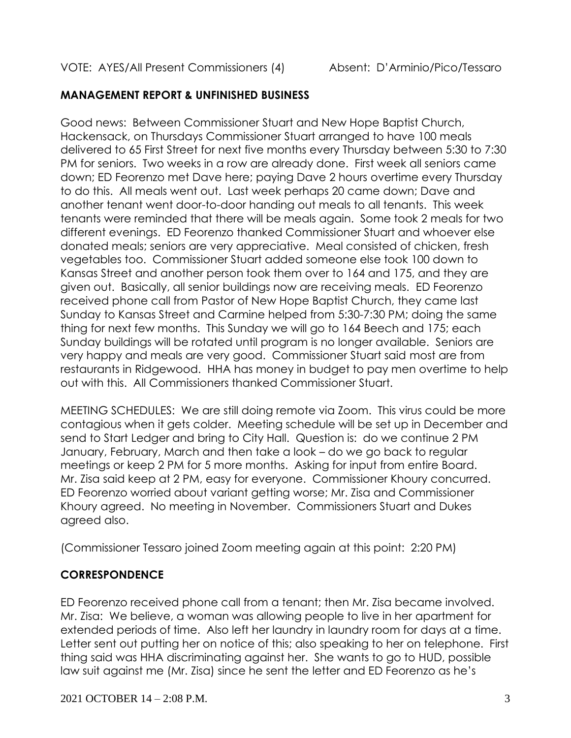#### **MANAGEMENT REPORT & UNFINISHED BUSINESS**

Good news: Between Commissioner Stuart and New Hope Baptist Church, Hackensack, on Thursdays Commissioner Stuart arranged to have 100 meals delivered to 65 First Street for next five months every Thursday between 5:30 to 7:30 PM for seniors. Two weeks in a row are already done. First week all seniors came down; ED Feorenzo met Dave here; paying Dave 2 hours overtime every Thursday to do this. All meals went out. Last week perhaps 20 came down; Dave and another tenant went door-to-door handing out meals to all tenants. This week tenants were reminded that there will be meals again. Some took 2 meals for two different evenings. ED Feorenzo thanked Commissioner Stuart and whoever else donated meals; seniors are very appreciative. Meal consisted of chicken, fresh vegetables too. Commissioner Stuart added someone else took 100 down to Kansas Street and another person took them over to 164 and 175, and they are given out. Basically, all senior buildings now are receiving meals. ED Feorenzo received phone call from Pastor of New Hope Baptist Church, they came last Sunday to Kansas Street and Carmine helped from 5:30-7:30 PM; doing the same thing for next few months. This Sunday we will go to 164 Beech and 175; each Sunday buildings will be rotated until program is no longer available. Seniors are very happy and meals are very good. Commissioner Stuart said most are from restaurants in Ridgewood. HHA has money in budget to pay men overtime to help out with this. All Commissioners thanked Commissioner Stuart.

MEETING SCHEDULES: We are still doing remote via Zoom. This virus could be more contagious when it gets colder. Meeting schedule will be set up in December and send to Start Ledger and bring to City Hall. Question is: do we continue 2 PM January, February, March and then take a look – do we go back to regular meetings or keep 2 PM for 5 more months. Asking for input from entire Board. Mr. Zisa said keep at 2 PM, easy for everyone. Commissioner Khoury concurred. ED Feorenzo worried about variant getting worse; Mr. Zisa and Commissioner Khoury agreed. No meeting in November. Commissioners Stuart and Dukes agreed also.

(Commissioner Tessaro joined Zoom meeting again at this point: 2:20 PM)

## **CORRESPONDENCE**

ED Feorenzo received phone call from a tenant; then Mr. Zisa became involved. Mr. Zisa: We believe, a woman was allowing people to live in her apartment for extended periods of time. Also left her laundry in laundry room for days at a time. Letter sent out putting her on notice of this; also speaking to her on telephone. First thing said was HHA discriminating against her. She wants to go to HUD, possible law suit against me (Mr. Zisa) since he sent the letter and ED Feorenzo as he's